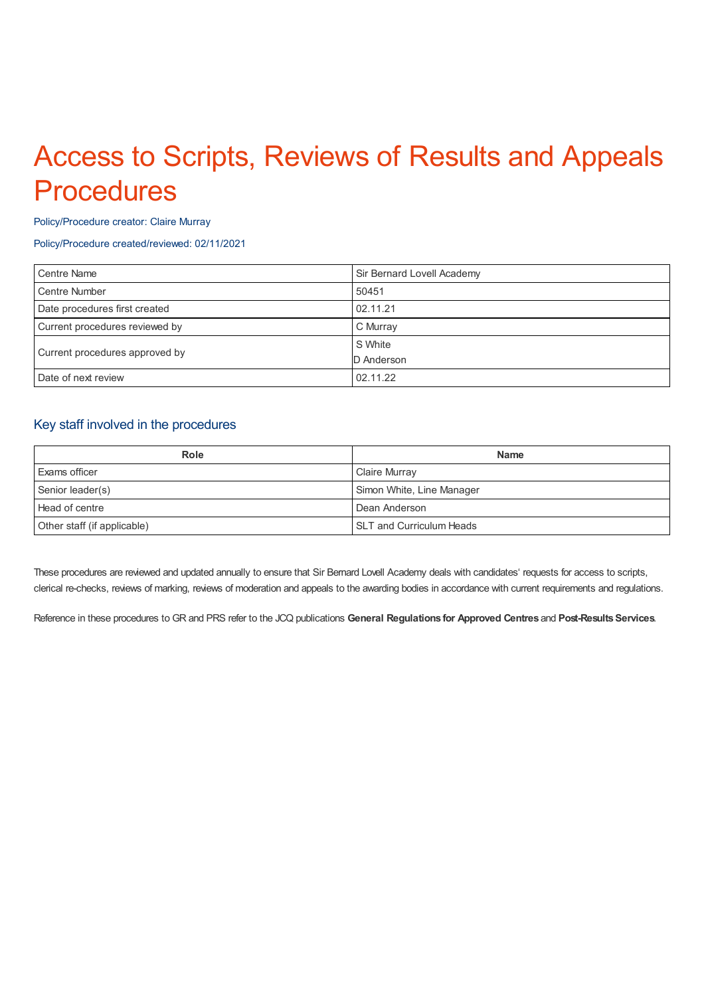# Access to Scripts, Reviews of Results and Appeals **Procedures**

#### Policy/Procedure creator: Claire Murray

### Policy/Procedure created/reviewed: 02/11/2021

| <b>Centre Name</b>             | Sir Bernard Lovell Academy |
|--------------------------------|----------------------------|
| <b>Centre Number</b>           | 50451                      |
| Date procedures first created  | 02.11.21                   |
| Current procedures reviewed by | C Murray                   |
| Current procedures approved by | S White                    |
|                                | D Anderson                 |
| Date of next review            | 02.11.22                   |

# Key staff involved in the procedures

| <b>Role</b>                 | <b>Name</b>                     |
|-----------------------------|---------------------------------|
| <b>Exams officer</b>        | Claire Murray                   |
| Senior leader(s)            | Simon White, Line Manager       |
| Head of centre              | Dean Anderson                   |
| Other staff (if applicable) | <b>SLT and Curriculum Heads</b> |

These procedures are reviewed and updated annually to ensure that Sir Bernard Lovell Academy deals with candidates' requests for access to scripts, clerical re-checks, reviews of marking, reviews of moderation and appeals to the awarding bodies in accordance with current requirements and regulations.

Reference in these procedures to GR and PRS refer to the JCQ publications **General Regulations for Approved Centres** and **Post-ResultsServices**.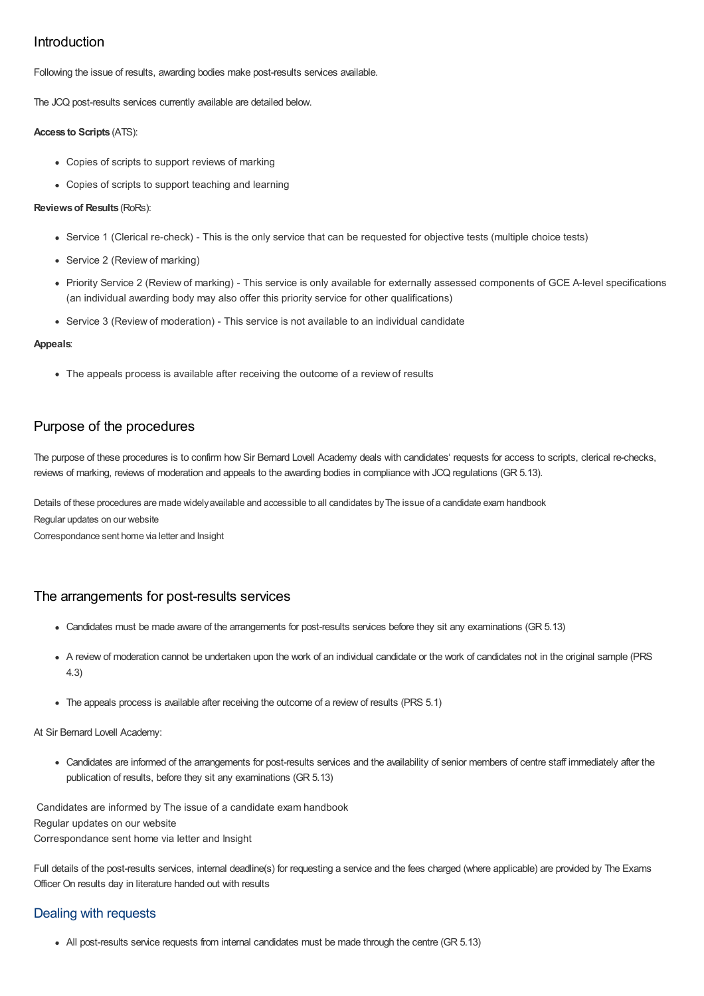# Introduction

Following the issue of results, awarding bodies make post-results services available.

The JCQ post-results services currently available are detailed below.

#### **Access to Scripts** (ATS):

- Copies of scripts to support reviews of marking
- Copies of scripts to support teaching and learning

### **Reviewsof Results** (RoRs):

- Service 1 (Clerical re-check) This is the only service that can be requested for objective tests (multiple choice tests)
- Service 2 (Review of marking)
- Priority Service 2 (Review of marking) This service is only available for externally assessed components of GCE A-level specifications (an individual awarding body may also offer this priority service for other qualifications)
- Service 3 (Review of moderation) This service is not available to an individual candidate

### **Appeals**:

• The appeals process is available after receiving the outcome of a review of results

# Purpose of the procedures

The purpose of these procedures is to confirm how Sir Bernard Lovell Academy deals with candidates' requests for access to scripts, clerical re-checks, reviews of marking, reviews of moderation and appeals to the awarding bodies in compliance with JCQ regulations (GR 5.13).

Details of these procedures are made widely available and accessible to all candidates by The issue of a candidate exam handbook

Regular updates on our website

Correspondance sent home via letter and Insight

# The arrangements for post-results services

- Candidates must be made aware of the arrangements for post-results services before they sit any examinations (GR 5.13)
- A review of moderation cannot be undertaken upon the work of an individual candidate or the work of candidates not in the original sample (PRS 4.3)
- The appeals process is available after receiving the outcome of a review of results (PRS 5.1)

#### At Sir Bernard Lovell Academy:

Candidates are informed of the arrangements for post-results services and the availability of senior members of centre staff immediately after the publication of results, before they sit any examinations (GR 5.13)

Candidates are informed by The issue of a candidate exam handbook Regular updates on our website Correspondance sent home via letter and Insight

Full details of the post-results services, internal deadline(s) for requesting a service and the fees charged (where applicable) are provided by The Exams Officer On results day in literature handed out with results

# Dealing with requests

All post-results service requests from internal candidates must be made through the centre (GR 5.13)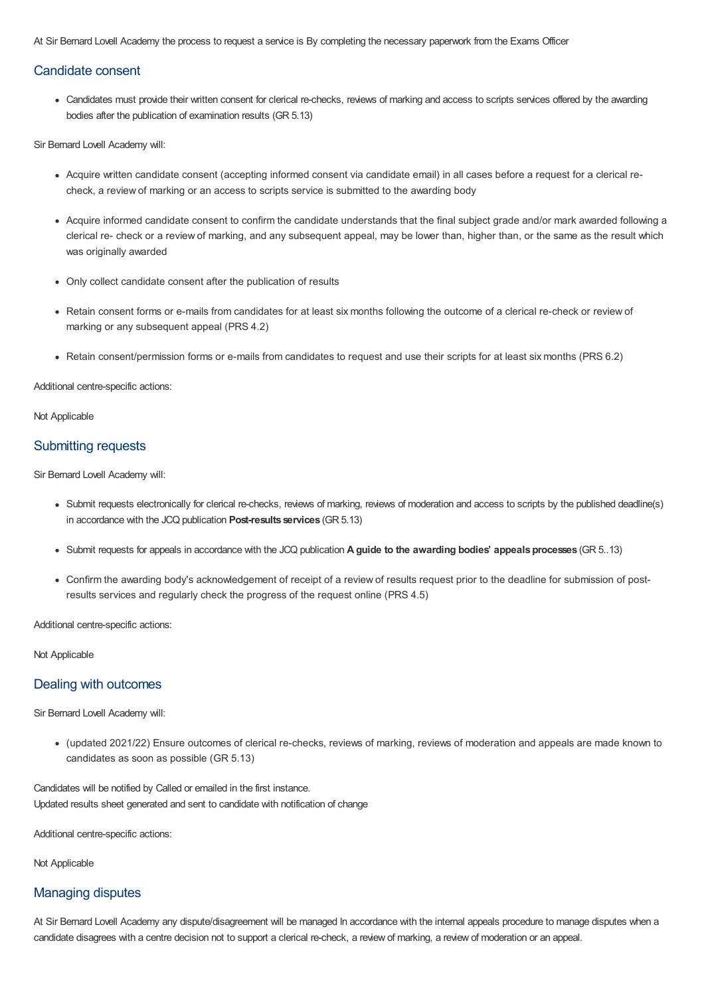At Sir Bernard Lovell Academy the process to request a service is By completing the necessary paperwork from the Exams Officer

## Candidate consent

Candidates must provide their written consent for clerical re-checks, reviews of marking and access to scripts services offered by the awarding bodies after the publication of examination results (GR 5.13)

Sir Bernard Lovell Academy will:

- Acquire written candidate consent (accepting informed consent via candidate email) in all cases before a request for a clerical recheck, a review of marking or an access to scripts service is submitted to the awarding body
- Acquire informed candidate consent to confirm the candidate understands that the final subject grade and/or mark awarded following a clerical re- check or a review of marking, and any subsequent appeal, may be lower than, higher than, or the same as the result which was originally awarded
- Only collect candidate consent after the publication of results
- Retain consent forms or e-mails from candidates for at least six months following the outcome of a clerical re-check or review of marking or any subsequent appeal (PRS 4.2)
- Retain consent/permission forms or e-mails from candidates to request and use their scripts for at least six months (PRS 6.2)

Additional centre-specific actions:

Not Applicable

## Submitting requests

Sir Bernard Lovell Academy will:

- Submit requests electronically for clerical re-checks, reviews of marking, reviews of moderation and access to scripts by the published deadline(s) in accordance with the JCQ publication **Post-results services** (GR 5.13)
- Submit requests for appeals in accordance with the JCQ publication **A guide to the awarding bodies' appealsprocesses** (GR 5..13)
- Confirm the awarding body's acknowledgement of receipt of a review of results request prior to the deadline for submission of postresults services and regularly check the progress of the request online (PRS 4.5)

Additional centre-specific actions:

Not Applicable

## Dealing with outcomes

Sir Bernard Lovell Academy will:

(updated 2021/22) Ensure outcomes of clerical re-checks, reviews of marking, reviews of moderation and appeals are made known to candidates as soon as possible (GR 5.13)

Candidates will be notified by Called or emailed in the first instance. Updated results sheet generated and sent to candidate with notification of change

Additional centre-specific actions:

Not Applicable

## Managing disputes

At Sir Bernard Lovell Academy any dispute/disagreement will be managed In accordance with the internal appeals procedure to manage disputes when a candidate disagrees with a centre decision not to support a clerical re-check, a review of marking, a review of moderation or an appeal.